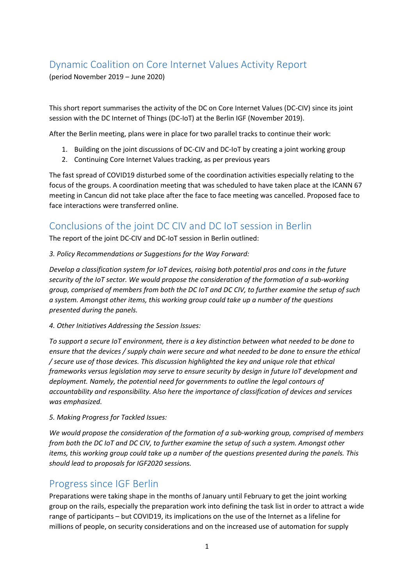# Dynamic Coalition on Core Internet Values Activity Report

(period November 2019 – June 2020)

This short report summarises the activity of the DC on Core Internet Values (DC-CIV) since its joint session with the DC Internet of Things (DC-IoT) at the Berlin IGF (November 2019).

After the Berlin meeting, plans were in place for two parallel tracks to continue their work:

- 1. Building on the joint discussions of DC-CIV and DC-IoT by creating a joint working group
- 2. Continuing Core Internet Values tracking, as per previous years

The fast spread of COVID19 disturbed some of the coordination activities especially relating to the focus of the groups. A coordination meeting that was scheduled to have taken place at the ICANN 67 meeting in Cancun did not take place after the face to face meeting was cancelled. Proposed face to face interactions were transferred online.

## Conclusions of the joint DC CIV and DC IoT session in Berlin

The report of the joint DC-CIV and DC-IoT session in Berlin outlined:

*3. Policy Recommendations or Suggestions for the Way Forward:* 

*Develop a classification system for IoT devices, raising both potential pros and cons in the future security of the IoT sector. We would propose the consideration of the formation of a sub-working group, comprised of members from both the DC IoT and DC CIV, to further examine the setup of such a system. Amongst other items, this working group could take up a number of the questions presented during the panels.*

*4. Other Initiatives Addressing the Session Issues:* 

*To support a secure IoT environment, there is a key distinction between what needed to be done to ensure that the devices / supply chain were secure and what needed to be done to ensure the ethical / secure use of those devices. This discussion highlighted the key and unique role that ethical frameworks versus legislation may serve to ensure security by design in future IoT development and deployment. Namely, the potential need for governments to outline the legal contours of accountability and responsibility. Also here the importance of classification of devices and services was emphasized.*

#### *5. Making Progress for Tackled Issues:*

*We would propose the consideration of the formation of a sub-working group, comprised of members from both the DC IoT and DC CIV, to further examine the setup of such a system. Amongst other items, this working group could take up a number of the questions presented during the panels. This should lead to proposals for IGF2020 sessions.*

### Progress since IGF Berlin

Preparations were taking shape in the months of January until February to get the joint working group on the rails, especially the preparation work into defining the task list in order to attract a wide range of participants – but COVID19, its implications on the use of the Internet as a lifeline for millions of people, on security considerations and on the increased use of automation for supply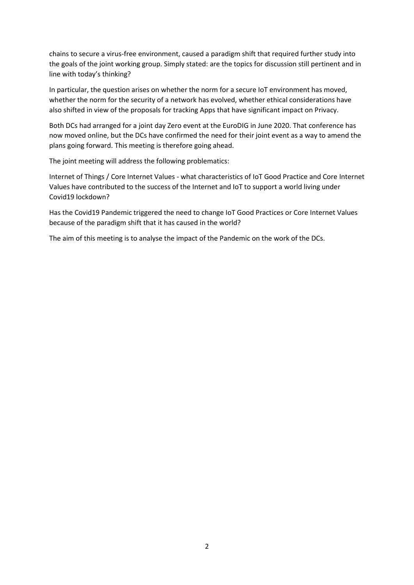chains to secure a virus-free environment, caused a paradigm shift that required further study into the goals of the joint working group. Simply stated: are the topics for discussion still pertinent and in line with today's thinking?

In particular, the question arises on whether the norm for a secure IoT environment has moved, whether the norm for the security of a network has evolved, whether ethical considerations have also shifted in view of the proposals for tracking Apps that have significant impact on Privacy.

Both DCs had arranged for a joint day Zero event at the EuroDIG in June 2020. That conference has now moved online, but the DCs have confirmed the need for their joint event as a way to amend the plans going forward. This meeting is therefore going ahead.

The joint meeting will address the following problematics:

Internet of Things / Core Internet Values - what characteristics of IoT Good Practice and Core Internet Values have contributed to the success of the Internet and IoT to support a world living under Covid19 lockdown?

Has the Covid19 Pandemic triggered the need to change IoT Good Practices or Core Internet Values because of the paradigm shift that it has caused in the world?

The aim of this meeting is to analyse the impact of the Pandemic on the work of the DCs.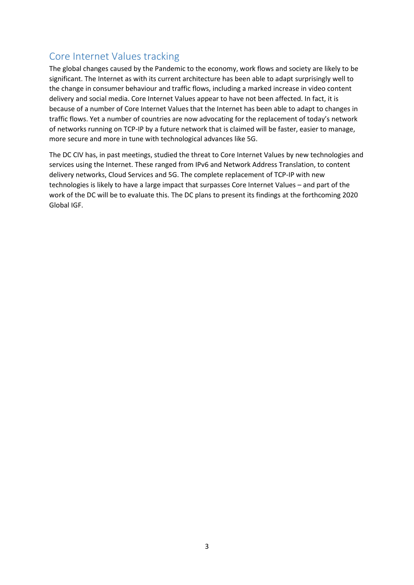# Core Internet Values tracking

The global changes caused by the Pandemic to the economy, work flows and society are likely to be significant. The Internet as with its current architecture has been able to adapt surprisingly well to the change in consumer behaviour and traffic flows, including a marked increase in video content delivery and social media. Core Internet Values appear to have not been affected. In fact, it is because of a number of Core Internet Values that the Internet has been able to adapt to changes in traffic flows. Yet a number of countries are now advocating for the replacement of today's network of networks running on TCP-IP by a future network that is claimed will be faster, easier to manage, more secure and more in tune with technological advances like 5G.

The DC CIV has, in past meetings, studied the threat to Core Internet Values by new technologies and services using the Internet. These ranged from IPv6 and Network Address Translation, to content delivery networks, Cloud Services and 5G. The complete replacement of TCP-IP with new technologies is likely to have a large impact that surpasses Core Internet Values – and part of the work of the DC will be to evaluate this. The DC plans to present its findings at the forthcoming 2020 Global IGF.